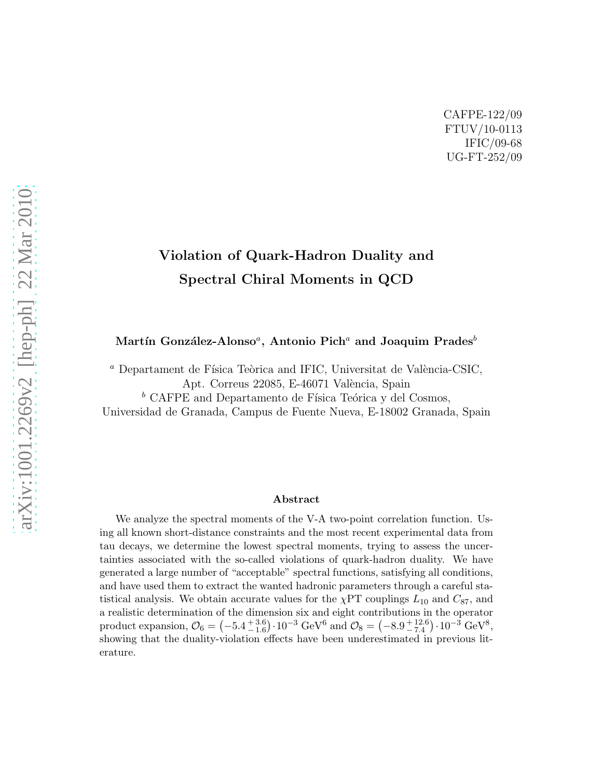### CAFPE-122/09 FTUV/10-0113 IFIC/09-68 UG-FT-252/09

# Violation of Quark-Hadron Duality and Spectral Chiral Moments in QCD

Martín González-Alonso ${}^a,\,$  Antonio Pich ${}^a$  and Joaquim Prades ${}^b$ 

 $\alpha$  Departament de Física Teòrica and IFIC, Universitat de València-CSIC, Apt. Correus 22085, E-46071 València, Spain

 $b$  CAFPE and Departamento de Física Teórica y del Cosmos,

Universidad de Granada, Campus de Fuente Nueva, E-18002 Granada, Spain

#### Abstract

We analyze the spectral moments of the V-A two-point correlation function. Using all known short-distance constraints and the most recent experimental data from tau decays, we determine the lowest spectral moments, trying to assess the uncertainties associated with the so-called violations of quark-hadron duality. We have generated a large number of "acceptable" spectral functions, satisfying all conditions, and have used them to extract the wanted hadronic parameters through a careful statistical analysis. We obtain accurate values for the  $\chi$ PT couplings  $L_{10}$  and  $C_{87}$ , and a realistic determination of the dimension six and eight contributions in the operator product expansion,  $\mathcal{O}_6 = (-5.4^{+3.6}_{-1.6}) \cdot 10^{-3} \text{ GeV}^6 \text{ and } \mathcal{O}_8 = (-8.9^{+12.6}_{-7.4}) \cdot 10^{-3} \text{ GeV}^8,$ showing that the duality-violation effects have been underestimated in previous literature.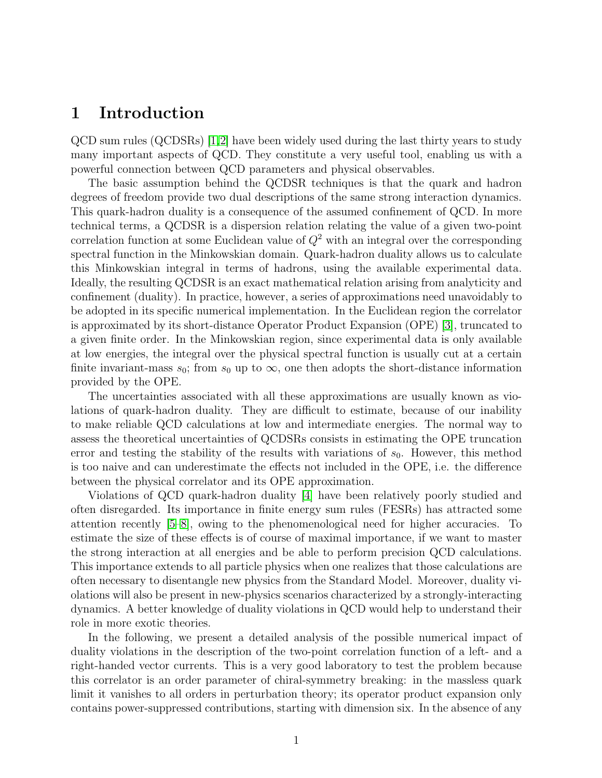### 1 Introduction

QCD sum rules (QCDSRs) [\[1,](#page-13-0)[2\]](#page-13-1) have been widely used during the last thirty years to study many important aspects of QCD. They constitute a very useful tool, enabling us with a powerful connection between QCD parameters and physical observables.

The basic assumption behind the QCDSR techniques is that the quark and hadron degrees of freedom provide two dual descriptions of the same strong interaction dynamics. This quark-hadron duality is a consequence of the assumed confinement of QCD. In more technical terms, a QCDSR is a dispersion relation relating the value of a given two-point correlation function at some Euclidean value of  $Q^2$  with an integral over the corresponding spectral function in the Minkowskian domain. Quark-hadron duality allows us to calculate this Minkowskian integral in terms of hadrons, using the available experimental data. Ideally, the resulting QCDSR is an exact mathematical relation arising from analyticity and confinement (duality). In practice, however, a series of approximations need unavoidably to be adopted in its specific numerical implementation. In the Euclidean region the correlator is approximated by its short-distance Operator Product Expansion (OPE) [\[3\]](#page-14-0), truncated to a given finite order. In the Minkowskian region, since experimental data is only available at low energies, the integral over the physical spectral function is usually cut at a certain finite invariant-mass  $s_0$ ; from  $s_0$  up to  $\infty$ , one then adopts the short-distance information provided by the OPE.

The uncertainties associated with all these approximations are usually known as violations of quark-hadron duality. They are difficult to estimate, because of our inability to make reliable QCD calculations at low and intermediate energies. The normal way to assess the theoretical uncertainties of QCDSRs consists in estimating the OPE truncation error and testing the stability of the results with variations of  $s_0$ . However, this method is too naive and can underestimate the effects not included in the OPE, i.e. the difference between the physical correlator and its OPE approximation.

Violations of QCD quark-hadron duality [\[4\]](#page-14-1) have been relatively poorly studied and often disregarded. Its importance in finite energy sum rules (FESRs) has attracted some attention recently [\[5](#page-14-2)[–8\]](#page-14-3), owing to the phenomenological need for higher accuracies. To estimate the size of these effects is of course of maximal importance, if we want to master the strong interaction at all energies and be able to perform precision QCD calculations. This importance extends to all particle physics when one realizes that those calculations are often necessary to disentangle new physics from the Standard Model. Moreover, duality violations will also be present in new-physics scenarios characterized by a strongly-interacting dynamics. A better knowledge of duality violations in QCD would help to understand their role in more exotic theories.

In the following, we present a detailed analysis of the possible numerical impact of duality violations in the description of the two-point correlation function of a left- and a right-handed vector currents. This is a very good laboratory to test the problem because this correlator is an order parameter of chiral-symmetry breaking: in the massless quark limit it vanishes to all orders in perturbation theory; its operator product expansion only contains power-suppressed contributions, starting with dimension six. In the absence of any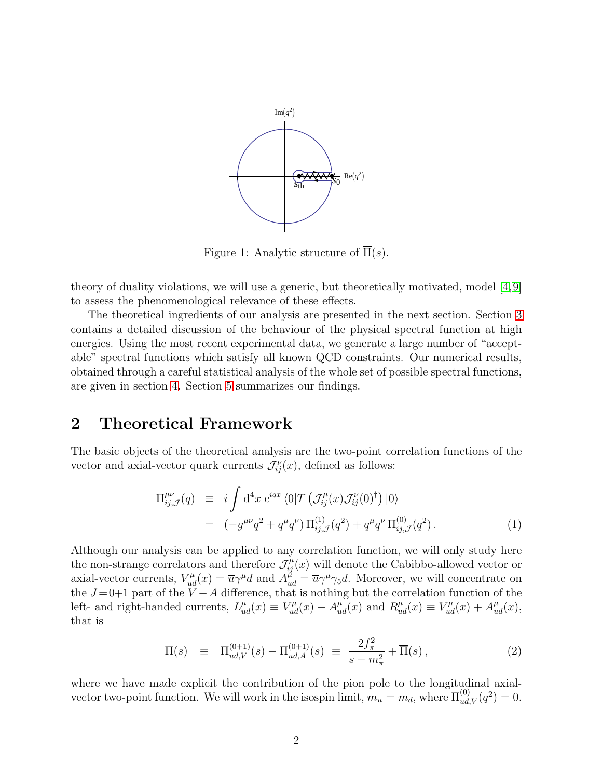

<span id="page-2-0"></span>Figure 1: Analytic structure of  $\overline{\Pi}(s)$ .

theory of duality violations, we will use a generic, but theoretically motivated, model [\[4,](#page-14-1)[9\]](#page-14-4) to assess the phenomenological relevance of these effects.

The theoretical ingredients of our analysis are presented in the next section. Section [3](#page-7-0) contains a detailed discussion of the behaviour of the physical spectral function at high energies. Using the most recent experimental data, we generate a large number of "acceptable" spectral functions which satisfy all known QCD constraints. Our numerical results, obtained through a careful statistical analysis of the whole set of possible spectral functions, are given in section [4.](#page-10-0) Section [5](#page-12-0) summarizes our findings.

### 2 Theoretical Framework

The basic objects of the theoretical analysis are the two-point correlation functions of the vector and axial-vector quark currents  $\mathcal{J}_{ij}^{\nu}(x)$ , defined as follows:

$$
\Pi_{ij,\mathcal{J}}^{\mu\nu}(q) \equiv i \int d^4x \ e^{iqx} \langle 0| T \left( \mathcal{J}_{ij}^{\mu}(x) \mathcal{J}_{ij}^{\nu}(0)^{\dagger} \right) |0\rangle
$$
  

$$
= (-g^{\mu\nu} q^2 + q^{\mu} q^{\nu}) \Pi_{ij,\mathcal{J}}^{(1)}(q^2) + q^{\mu} q^{\nu} \Pi_{ij,\mathcal{J}}^{(0)}(q^2).
$$
 (1)

Although our analysis can be applied to any correlation function, we will only study here the non-strange correlators and therefore  $\mathcal{J}_{ij}^{\mu}(x)$  will denote the Cabibbo-allowed vector or axial-vector currents,  $V_{ud}^{\mu}(x) = \overline{u}\gamma^{\mu}d$  and  $A_{ud}^{\mu} = \overline{u}\gamma^{\mu}\gamma_5d$ . Moreover, we will concentrate on the  $J=0+1$  part of the  $V-A$  difference, that is nothing but the correlation function of the left- and right-handed currents,  $L_{ud}^{\mu}(x) \equiv V_{ud}^{\mu}(x) - A_{ud}^{\mu}(x)$  and  $R_{ud}^{\mu}(x) \equiv V_{ud}^{\mu}(x) + A_{ud}^{\mu}(x)$ , that is

$$
\Pi(s) \equiv \Pi_{ud,V}^{(0+1)}(s) - \Pi_{ud,A}^{(0+1)}(s) \equiv \frac{2f_{\pi}^2}{s - m_{\pi}^2} + \overline{\Pi}(s) \,, \tag{2}
$$

where we have made explicit the contribution of the pion pole to the longitudinal axialvector two-point function. We will work in the isospin limit,  $m_u = m_d$ , where  $\Pi_{ud,V}^{(0)}(q^2) = 0$ .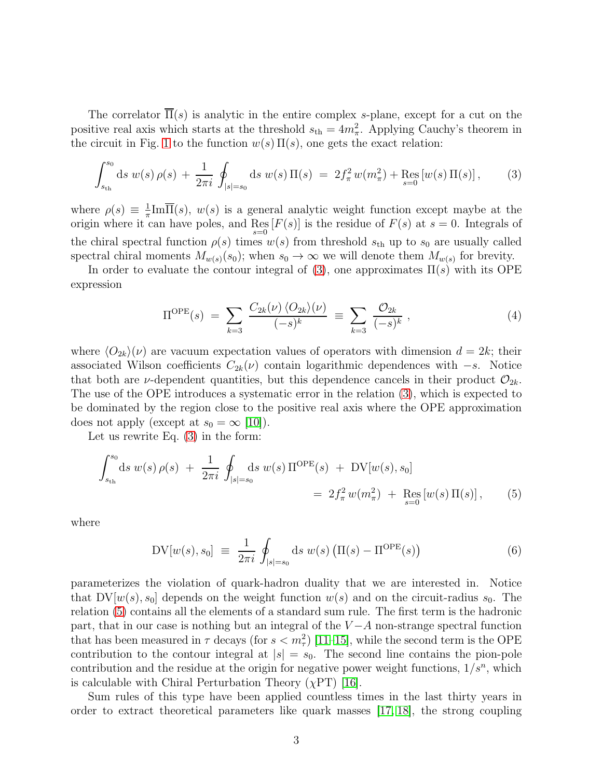The correlator  $\overline{\Pi}(s)$  is analytic in the entire complex s-plane, except for a cut on the positive real axis which starts at the threshold  $s<sub>th</sub> = 4m<sub>\pi</sub><sup>2</sup>$ . Applying Cauchy's theorem in the circuit in Fig. [1](#page-2-0) to the function  $w(s) \Pi(s)$ , one gets the exact relation:

<span id="page-3-0"></span>
$$
\int_{s_{\rm th}}^{s_0} ds \ w(s) \rho(s) + \frac{1}{2\pi i} \oint_{|s|=s_0} ds \ w(s) \Pi(s) = 2f_{\pi}^2 w(m_{\pi}^2) + \text{Res}_{s=0} [w(s) \Pi(s)], \qquad (3)
$$

where  $\rho(s) \equiv \frac{1}{\pi}$  $\frac{1}{\pi}$ Im $\Pi(s)$ ,  $w(s)$  is a general analytic weight function except maybe at the origin where it can have poles, and  $\operatorname{Res}_{s=0}[F(s)]$  is the residue of  $F(s)$  at  $s=0$ . Integrals of the chiral spectral function  $\rho(s)$  times  $w(s)$  from threshold  $s<sub>th</sub>$  up to  $s<sub>0</sub>$  are usually called spectral chiral moments  $M_{w(s)}(s_0)$ ; when  $s_0 \to \infty$  we will denote them  $M_{w(s)}$  for brevity.

In order to evaluate the contour integral of [\(3\)](#page-3-0), one approximates  $\Pi(s)$  with its OPE expression

<span id="page-3-2"></span>
$$
\Pi^{\text{OPE}}(s) = \sum_{k=3} \frac{C_{2k}(\nu) \langle O_{2k} \rangle(\nu)}{(-s)^k} \equiv \sum_{k=3} \frac{O_{2k}}{(-s)^k}, \qquad (4)
$$

where  $\langle O_{2k}\rangle(\nu)$  are vacuum expectation values of operators with dimension  $d = 2k$ ; their associated Wilson coefficients  $C_{2k}(\nu)$  contain logarithmic dependences with  $-s$ . Notice that both are *ν*-dependent quantities, but this dependence cancels in their product  $\mathcal{O}_{2k}$ . The use of the OPE introduces a systematic error in the relation [\(3\)](#page-3-0), which is expected to be dominated by the region close to the positive real axis where the OPE approximation does not apply (except at  $s_0 = \infty$  [\[10\]](#page-14-5)).

Let us rewrite Eq. [\(3\)](#page-3-0) in the form:

<span id="page-3-1"></span>
$$
\int_{s_{\text{th}}}^{s_0} ds \ w(s) \ \rho(s) + \frac{1}{2\pi i} \oint_{|s|=s_0} ds \ w(s) \ \Pi^{\text{OPE}}(s) + \text{DV}[w(s), s_0] \n= 2f_{\pi}^2 w(m_{\pi}^2) + \text{Res}_{s=0} [w(s) \Pi(s)], \tag{5}
$$

where

<span id="page-3-3"></span>
$$
DV[w(s), s_0] \equiv \frac{1}{2\pi i} \oint_{|s|=s_0} ds w(s) \left( \Pi(s) - \Pi^{OPE}(s) \right) \tag{6}
$$

parameterizes the violation of quark-hadron duality that we are interested in. Notice that  $DV[w(s), s_0]$  depends on the weight function  $w(s)$  and on the circuit-radius  $s_0$ . The relation [\(5\)](#page-3-1) contains all the elements of a standard sum rule. The first term is the hadronic part, that in our case is nothing but an integral of the  $V - A$  non-strange spectral function that has been measured in  $\tau$  decays (for  $s < m_{\tau}^2$ ) [\[11–](#page-14-6)[15\]](#page-14-7), while the second term is the OPE contribution to the contour integral at  $|s| = s_0$ . The second line contains the pion-pole contribution and the residue at the origin for negative power weight functions,  $1/s^n$ , which is calculable with Chiral Perturbation Theory  $(\chi PT)$  [\[16\]](#page-14-8).

Sum rules of this type have been applied countless times in the last thirty years in order to extract theoretical parameters like quark masses [\[17,](#page-14-9) [18\]](#page-14-10), the strong coupling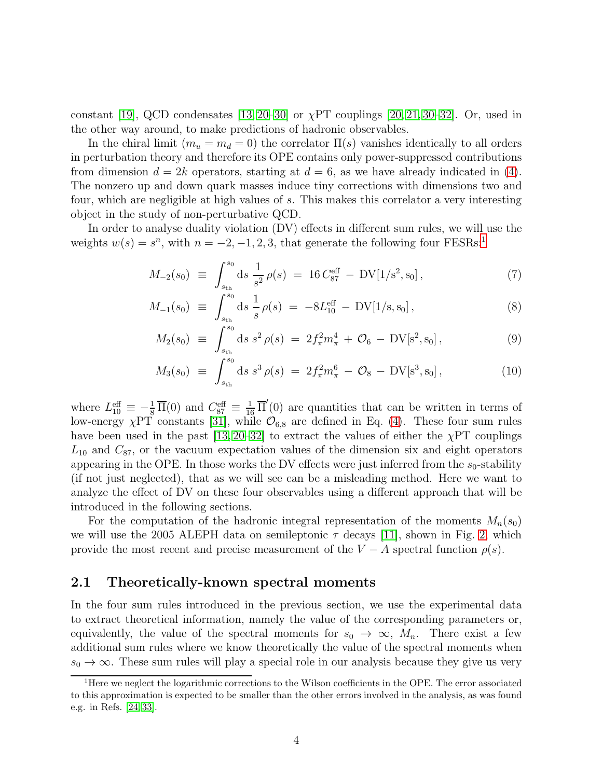constant [\[19\]](#page-14-11), QCD condensates  $[13, 20-30]$  $[13, 20-30]$  $[13, 20-30]$  or  $\chi PT$  couplings  $[20, 21, 30-32]$  $[20, 21, 30-32]$  $[20, 21, 30-32]$  $[20, 21, 30-32]$ . Or, used in the other way around, to make predictions of hadronic observables.

In the chiral limit  $(m_u = m_d = 0)$  the correlator  $\Pi(s)$  vanishes identically to all orders in perturbation theory and therefore its OPE contains only power-suppressed contributions from dimension  $d = 2k$  operators, starting at  $d = 6$ , as we have already indicated in [\(4\)](#page-3-2). The nonzero up and down quark masses induce tiny corrections with dimensions two and four, which are negligible at high values of s. This makes this correlator a very interesting object in the study of non-perturbative QCD.

In order to analyse duality violation (DV) effects in different sum rules, we will use the weights  $w(s) = s^n$ , with  $n = -2, -1, 2, 3$  $n = -2, -1, 2, 3$  $n = -2, -1, 2, 3$ , that generate the following four FESRs:<sup>1</sup>

<span id="page-4-1"></span>
$$
M_{-2}(s_0) \equiv \int_{s_{\text{th}}}^{s_0} ds \, \frac{1}{s^2} \rho(s) = 16 C_{87}^{\text{eff}} - \text{DV}[1/s^2, s_0], \tag{7}
$$

$$
M_{-1}(s_0) \equiv \int_{s_{\text{th}}}^{s_0} ds \, \frac{1}{s} \rho(s) = -8L_{10}^{\text{eff}} - DV[1/s, s_0], \tag{8}
$$

$$
M_2(s_0) \equiv \int_{s_{\text{th}}}^{s_0} ds \, s^2 \, \rho(s) \, = \, 2f_\pi^2 m_\pi^4 \, + \, \mathcal{O}_6 \, - \, \text{DV}[\mathbf{s}^2, \mathbf{s}_0] \,, \tag{9}
$$

$$
M_3(s_0) \equiv \int_{s_{\text{th}}}^{s_0} ds \, s^3 \, \rho(s) = 2f_\pi^2 m_\pi^6 - \mathcal{O}_8 - \text{DV}[s^3, s_0], \tag{10}
$$

where  $L_{10}^{\text{eff}} \equiv -\frac{1}{8} \overline{\Pi}(0)$  and  $C_{87}^{\text{eff}} \equiv \frac{1}{16} \overline{\Pi}'(0)$  are quantities that can be written in terms of low-energy  $\chi$ PT constants [\[31\]](#page-15-4), while  $\mathcal{O}_{6,8}$  are defined in Eq. [\(4\)](#page-3-2). These four sum rules have been used in the past  $[13, 20-32]$  $[13, 20-32]$  to extract the values of either the  $\chi PT$  couplings  $L_{10}$  and  $C_{87}$ , or the vacuum expectation values of the dimension six and eight operators appearing in the OPE. In those works the DV effects were just inferred from the  $s_0$ -stability (if not just neglected), that as we will see can be a misleading method. Here we want to analyze the effect of DV on these four observables using a different approach that will be introduced in the following sections.

For the computation of the hadronic integral representation of the moments  $M_n(s_0)$ we will use the 2005 ALEPH data on semileptonic  $\tau$  decays [\[11\]](#page-14-6), shown in Fig. [2,](#page-5-0) which provide the most recent and precise measurement of the  $V - A$  spectral function  $\rho(s)$ .

#### 2.1 Theoretically-known spectral moments

In the four sum rules introduced in the previous section, we use the experimental data to extract theoretical information, namely the value of the corresponding parameters or, equivalently, the value of the spectral moments for  $s_0 \to \infty$ ,  $M_n$ . There exist a few additional sum rules where we know theoretically the value of the spectral moments when  $s_0 \to \infty$ . These sum rules will play a special role in our analysis because they give us very

<span id="page-4-0"></span><sup>&</sup>lt;sup>1</sup>Here we neglect the logarithmic corrections to the Wilson coefficients in the OPE. The error associated to this approximation is expected to be smaller than the other errors involved in the analysis, as was found e.g. in Refs. [\[24,](#page-15-5) [33\]](#page-15-6).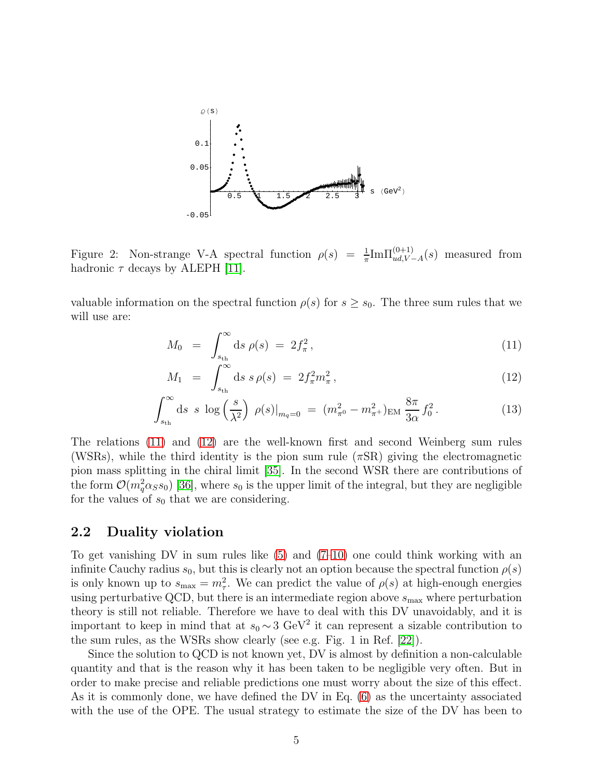

<span id="page-5-0"></span>Figure 2: Non-strange V-A spectral function  $\rho(s) = \frac{1}{\pi} Im \Pi_{ud,V-A}^{(0+1)}(s)$  measured from hadronic  $\tau$  decays by ALEPH [\[11\]](#page-14-6).

valuable information on the spectral function  $\rho(s)$  for  $s \geq s_0$ . The three sum rules that we will use are:

<span id="page-5-1"></span>
$$
M_0 = \int_{s_{\text{th}}}^{\infty} ds \, \rho(s) = 2f_{\pi}^2, \tag{11}
$$

$$
M_1 = \int_{s_{\text{th}}}^{\infty} ds \, s \, \rho(s) = 2f_{\pi}^2 m_{\pi}^2, \tag{12}
$$

$$
\int_{s_{\text{th}}}^{\infty} ds \ s \ \log\left(\frac{s}{\lambda^2}\right) \ \rho(s)|_{m_q=0} \ = \ (m_{\pi^0}^2 - m_{\pi^+}^2)_{\text{EM}} \ \frac{8\pi}{3\alpha} f_0^2 \,. \tag{13}
$$

The relations [\(11\)](#page-5-1) and [\(12\)](#page-5-1) are the well-known first and second Weinberg sum rules (WSRs), while the third identity is the pion sum rule  $(\pi$ SR) giving the electromagnetic pion mass splitting in the chiral limit [\[35\]](#page-15-7). In the second WSR there are contributions of the form  $\mathcal{O}(m_q^2 \alpha_S s_0)$  [\[36\]](#page-16-0), where  $s_0$  is the upper limit of the integral, but they are negligible for the values of  $s_0$  that we are considering.

#### 2.2 Duality violation

To get vanishing DV in sum rules like  $(5)$  and  $(7-10)$  one could think working with an infinite Cauchy radius  $s_0$ , but this is clearly not an option because the spectral function  $\rho(s)$ is only known up to  $s_{\text{max}} = m_{\tau}^2$ . We can predict the value of  $\rho(s)$  at high-enough energies using perturbative QCD, but there is an intermediate region above  $s_{\text{max}}$  where perturbation theory is still not reliable. Therefore we have to deal with this DV unavoidably, and it is important to keep in mind that at  $s_0 \sim 3 \text{ GeV}^2$  it can represent a sizable contribution to the sum rules, as the WSRs show clearly (see e.g. Fig. 1 in Ref. [\[22\]](#page-15-8)).

Since the solution to QCD is not known yet, DV is almost by definition a non-calculable quantity and that is the reason why it has been taken to be negligible very often. But in order to make precise and reliable predictions one must worry about the size of this effect. As it is commonly done, we have defined the DV in Eq. [\(6\)](#page-3-3) as the uncertainty associated with the use of the OPE. The usual strategy to estimate the size of the DV has been to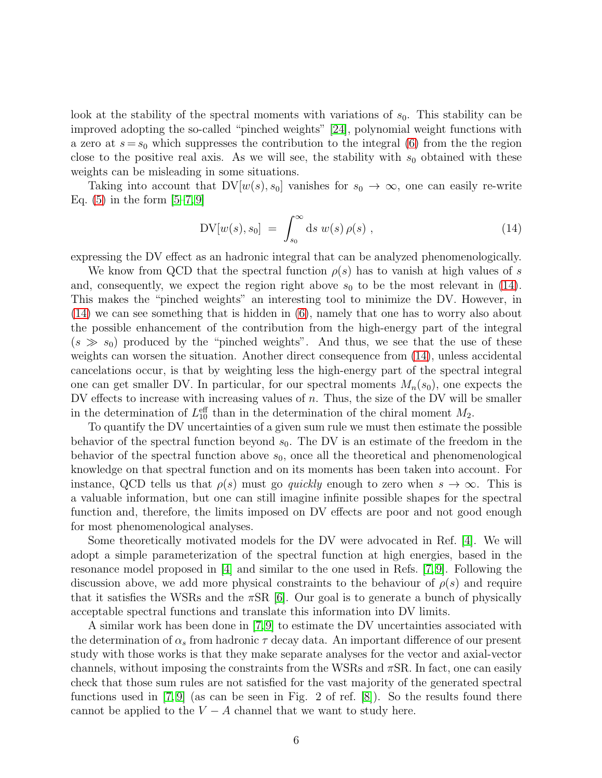look at the stability of the spectral moments with variations of  $s_0$ . This stability can be improved adopting the so-called "pinched weights" [\[24\]](#page-15-5), polynomial weight functions with a zero at  $s = s_0$  which suppresses the contribution to the integral [\(6\)](#page-3-3) from the the region close to the positive real axis. As we will see, the stability with  $s_0$  obtained with these weights can be misleading in some situations.

Taking into account that  $DV[w(s), s_0]$  vanishes for  $s_0 \to \infty$ , one can easily re-write Eq.  $(5)$  in the form  $[5-7, 9]$  $[5-7, 9]$  $[5-7, 9]$ 

<span id="page-6-0"></span>
$$
DV[w(s), s_0] = \int_{s_0}^{\infty} ds w(s) \rho(s) , \qquad (14)
$$

expressing the DV effect as an hadronic integral that can be analyzed phenomenologically.

We know from QCD that the spectral function  $\rho(s)$  has to vanish at high values of s and, consequently, we expect the region right above  $s_0$  to be the most relevant in [\(14\)](#page-6-0). This makes the "pinched weights" an interesting tool to minimize the DV. However, in [\(14\)](#page-6-0) we can see something that is hidden in [\(6\)](#page-3-3), namely that one has to worry also about the possible enhancement of the contribution from the high-energy part of the integral  $(s \gg s_0)$  produced by the "pinched weights". And thus, we see that the use of these weights can worsen the situation. Another direct consequence from [\(14\)](#page-6-0), unless accidental cancelations occur, is that by weighting less the high-energy part of the spectral integral one can get smaller DV. In particular, for our spectral moments  $M_n(s_0)$ , one expects the DV effects to increase with increasing values of  $n$ . Thus, the size of the DV will be smaller in the determination of  $L_{10}^{\text{eff}}$  than in the determination of the chiral moment  $M_2$ .

To quantify the DV uncertainties of a given sum rule we must then estimate the possible behavior of the spectral function beyond  $s_0$ . The DV is an estimate of the freedom in the behavior of the spectral function above  $s_0$ , once all the theoretical and phenomenological knowledge on that spectral function and on its moments has been taken into account. For instance, QCD tells us that  $\rho(s)$  must go quickly enough to zero when  $s \to \infty$ . This is a valuable information, but one can still imagine infinite possible shapes for the spectral function and, therefore, the limits imposed on DV effects are poor and not good enough for most phenomenological analyses.

Some theoretically motivated models for the DV were advocated in Ref. [\[4\]](#page-14-1). We will adopt a simple parameterization of the spectral function at high energies, based in the resonance model proposed in [\[4\]](#page-14-1) and similar to the one used in Refs. [\[7,](#page-14-13) [9\]](#page-14-4). Following the discussion above, we add more physical constraints to the behaviour of  $\rho(s)$  and require that it satisfies the WSRs and the  $\pi$ SR [\[6\]](#page-14-14). Our goal is to generate a bunch of physically acceptable spectral functions and translate this information into DV limits.

A similar work has been done in [\[7,](#page-14-13)[9\]](#page-14-4) to estimate the DV uncertainties associated with the determination of  $\alpha_s$  from hadronic  $\tau$  decay data. An important difference of our present study with those works is that they make separate analyses for the vector and axial-vector channels, without imposing the constraints from the WSRs and  $\pi$ SR. In fact, one can easily check that those sum rules are not satisfied for the vast majority of the generated spectral functions used in  $[7, 9]$  $[7, 9]$  (as can be seen in Fig. 2 of ref.  $[8]$ ). So the results found there cannot be applied to the  $V - A$  channel that we want to study here.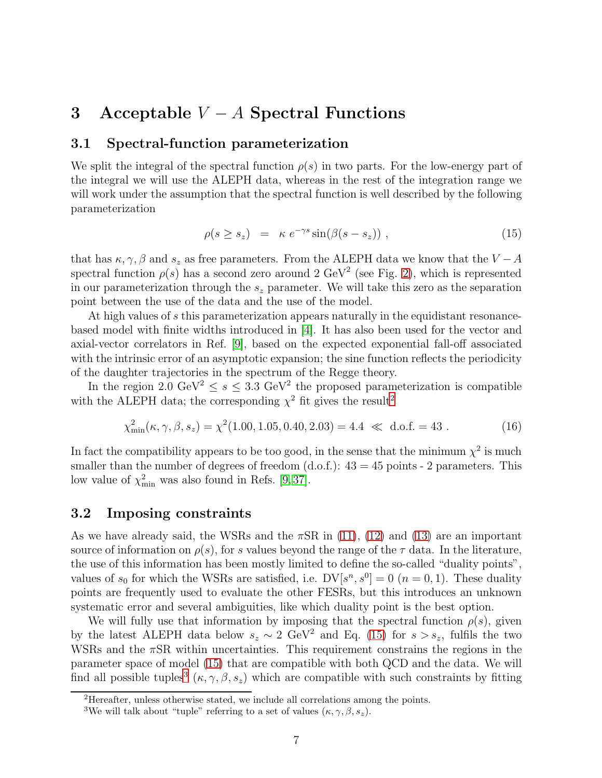## <span id="page-7-0"></span>3 Acceptable  $V - A$  Spectral Functions

#### 3.1 Spectral-function parameterization

We split the integral of the spectral function  $\rho(s)$  in two parts. For the low-energy part of the integral we will use the ALEPH data, whereas in the rest of the integration range we will work under the assumption that the spectral function is well described by the following parameterization

<span id="page-7-2"></span>
$$
\rho(s \ge s_z) = \kappa \ e^{-\gamma s} \sin(\beta(s - s_z)) \,, \tag{15}
$$

that has  $\kappa, \gamma, \beta$  and  $s_z$  as free parameters. From the ALEPH data we know that the  $V - A$ spectral function  $\rho(s)$  has a second zero around 2 GeV<sup>2</sup> (see Fig. [2\)](#page-5-0), which is represented in our parameterization through the  $s_z$  parameter. We will take this zero as the separation point between the use of the data and the use of the model.

At high values of s this parameterization appears naturally in the equidistant resonancebased model with finite widths introduced in [\[4\]](#page-14-1). It has also been used for the vector and axial-vector correlators in Ref. [\[9\]](#page-14-4), based on the expected exponential fall-off associated with the intrinsic error of an asymptotic expansion; the sine function reflects the periodicity of the daughter trajectories in the spectrum of the Regge theory.

In the region 2.0 GeV<sup>2</sup>  $\leq s \leq 3.3$  GeV<sup>2</sup> the proposed parameterization is compatible with the ALEPH data; the corresponding  $\chi^2$  $\chi^2$  fit gives the result<sup>2</sup>

$$
\chi_{\min}^2(\kappa, \gamma, \beta, s_z) = \chi^2(1.00, 1.05, 0.40, 2.03) = 4.4 \ll d.o.f. = 43.
$$
 (16)

In fact the compatibility appears to be too good, in the sense that the minimum  $\chi^2$  is much smaller than the number of degrees of freedom  $(d.o.f.)$ :  $43 = 45$  points - 2 parameters. This low value of  $\chi^2_{\text{min}}$  was also found in Refs. [\[9,](#page-14-4)37].

#### 3.2 Imposing constraints

As we have already said, the WSRs and the  $\pi$ SR in [\(11\)](#page-5-1), [\(12\)](#page-5-1) and [\(13\)](#page-5-1) are an important source of information on  $\rho(s)$ , for s values beyond the range of the  $\tau$  data. In the literature, the use of this information has been mostly limited to define the so-called "duality points", values of  $s_0$  for which the WSRs are satisfied, i.e.  $DV[s^n, s^0] = 0$   $(n = 0, 1)$ . These duality points are frequently used to evaluate the other FESRs, but this introduces an unknown systematic error and several ambiguities, like which duality point is the best option.

We will fully use that information by imposing that the spectral function  $\rho(s)$ , given by the latest ALEPH data below  $s_z \sim 2 \text{ GeV}^2$  and Eq. [\(15\)](#page-7-2) for  $s > s_z$ , fulfils the two WSRs and the  $\pi$ SR within uncertainties. This requirement constrains the regions in the parameter space of model [\(15\)](#page-7-2) that are compatible with both QCD and the data. We will find all possible tuples<sup>[3](#page-7-3)</sup>  $(\kappa, \gamma, \beta, s_z)$  which are compatible with such constraints by fitting

<sup>2</sup>Hereafter, unless otherwise stated, we include all correlations among the points.

<span id="page-7-3"></span><span id="page-7-1"></span><sup>&</sup>lt;sup>3</sup>We will talk about "tuple" referring to a set of values  $(\kappa, \gamma, \beta, s_z)$ .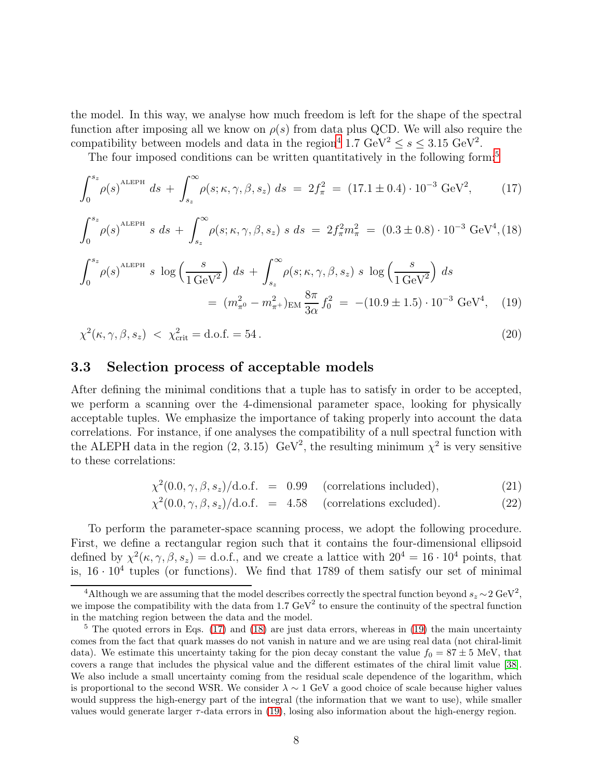the model. In this way, we analyse how much freedom is left for the shape of the spectral function after imposing all we know on  $\rho(s)$  from data plus QCD. We will also require the compatibility between models and data in the region<sup>[4](#page-8-0)</sup> 1.7  $\text{GeV}^2 \leq s \leq 3.15 \text{ GeV}^2$ .

The four imposed conditions can be written quantitatively in the following form:<sup>[5](#page-8-1)</sup>

<span id="page-8-2"></span>
$$
\int_0^{s_z} \rho(s)^{\text{ALEPH}} ds + \int_{s_z}^{\infty} \rho(s; \kappa, \gamma, \beta, s_z) ds = 2f_{\pi}^2 = (17.1 \pm 0.4) \cdot 10^{-3} \text{ GeV}^2, \tag{17}
$$

$$
\int_0^{s_z} \rho(s)^{\text{ALEPH}} s \, ds + \int_{s_z}^{\infty} \rho(s; \kappa, \gamma, \beta, s_z) \, s \, ds = 2f_{\pi}^2 m_{\pi}^2 = (0.3 \pm 0.8) \cdot 10^{-3} \text{ GeV}^4, (18)
$$

$$
\int_0^{s_z} \rho(s)^{\text{ALEPH}} s \, \log\left(\frac{s}{1 \, \text{GeV}^2}\right) \, ds + \int_{s_z}^{\infty} \rho(s; \kappa, \gamma, \beta, s_z) \, s \, \log\left(\frac{s}{1 \, \text{GeV}^2}\right) \, ds
$$
\n
$$
= \left(m_{\pi^0}^2 - m_{\pi^+}^2\right)_{\text{EM}} \frac{8\pi}{3\alpha} f_0^2 = -(10.9 \pm 1.5) \cdot 10^{-3} \, \text{GeV}^4, \tag{19}
$$

$$
\chi^2(\kappa, \gamma, \beta, s_z) < \chi^2_{\text{crit}} = \text{d.o.f.} = 54. \tag{20}
$$

#### 3.3 Selection process of acceptable models

After defining the minimal conditions that a tuple has to satisfy in order to be accepted, we perform a scanning over the 4-dimensional parameter space, looking for physically acceptable tuples. We emphasize the importance of taking properly into account the data correlations. For instance, if one analyses the compatibility of a null spectral function with the ALEPH data in the region  $(2, 3.15)$  GeV<sup>2</sup>, the resulting minimum  $\chi^2$  is very sensitive to these correlations:

$$
\chi^2(0.0, \gamma, \beta, s_z) / d.o.f. = 0.99 \quad \text{(correlations included)}, \tag{21}
$$

$$
\chi^2(0.0, \gamma, \beta, s_z)/d.o.f. = 4.58 \quad \text{(correlations excluded)}.
$$
 (22)

To perform the parameter-space scanning process, we adopt the following procedure. First, we define a rectangular region such that it contains the four-dimensional ellipsoid defined by  $\chi^2(\kappa, \gamma, \beta, s_z) =$  d.o.f., and we create a lattice with  $20^4 = 16 \cdot 10^4$  points, that is,  $16 \cdot 10^4$  tuples (or functions). We find that 1789 of them satisfy our set of minimal

<span id="page-8-0"></span><sup>&</sup>lt;sup>4</sup>Although we are assuming that the model describes correctly the spectral function beyond  $s_z \sim 2 \text{ GeV}^2$ , we impose the compatibility with the data from 1.7  $\text{GeV}^2$  to ensure the continuity of the spectral function in the matching region between the data and the model.

<span id="page-8-1"></span><sup>&</sup>lt;sup>5</sup> The quoted errors in Eqs. [\(17\)](#page-8-2) and [\(18\)](#page-8-2) are just data errors, whereas in [\(19\)](#page-8-2) the main uncertainty comes from the fact that quark masses do not vanish in nature and we are using real data (not chiral-limit data). We estimate this uncertainty taking for the pion decay constant the value  $f_0 = 87 \pm 5$  MeV, that covers a range that includes the physical value and the different estimates of the chiral limit value [\[38\]](#page-16-2). We also include a small uncertainty coming from the residual scale dependence of the logarithm, which is proportional to the second WSR. We consider  $\lambda \sim 1$  GeV a good choice of scale because higher values would suppress the high-energy part of the integral (the information that we want to use), while smaller values would generate larger  $\tau$ -data errors in [\(19\)](#page-8-2), losing also information about the high-energy region.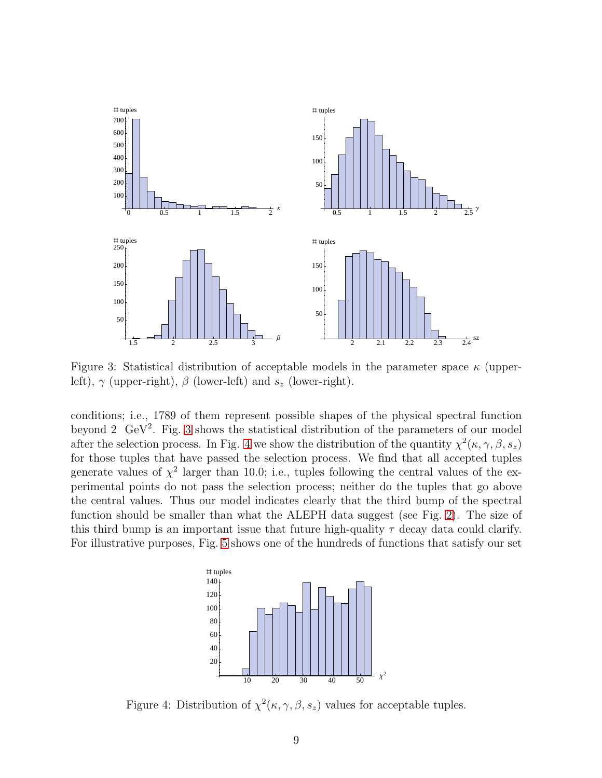

<span id="page-9-0"></span>Figure 3: Statistical distribution of acceptable models in the parameter space  $\kappa$  (upperleft),  $\gamma$  (upper-right),  $\beta$  (lower-left) and  $s_z$  (lower-right).

conditions; i.e., 1789 of them represent possible shapes of the physical spectral function beyond 2  $\text{GeV}^2$ . Fig. [3](#page-9-0) shows the statistical distribution of the parameters of our model after the selection process. In Fig. [4](#page-9-1) we show the distribution of the quantity  $\chi^2(\kappa, \gamma, \beta, s_z)$ for those tuples that have passed the selection process. We find that all accepted tuples generate values of  $\chi^2$  larger than 10.0; i.e., tuples following the central values of the experimental points do not pass the selection process; neither do the tuples that go above the central values. Thus our model indicates clearly that the third bump of the spectral function should be smaller than what the ALEPH data suggest (see Fig. [2\)](#page-5-0). The size of this third bump is an important issue that future high-quality  $\tau$  decay data could clarify. For illustrative purposes, Fig. [5](#page-10-1) shows one of the hundreds of functions that satisfy our set



<span id="page-9-1"></span>Figure 4: Distribution of  $\chi^2(\kappa, \gamma, \beta, s_z)$  values for acceptable tuples.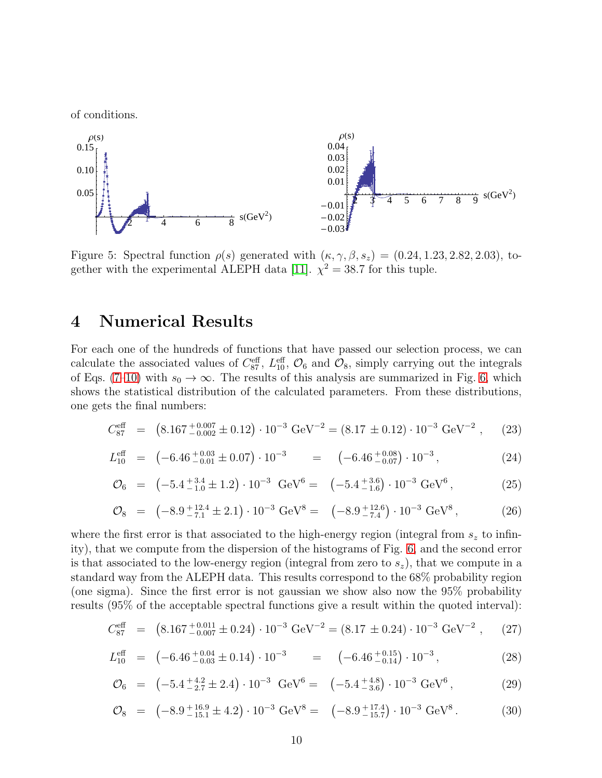of conditions.



<span id="page-10-1"></span>Figure 5: Spectral function  $\rho(s)$  generated with  $(\kappa, \gamma, \beta, s_z) = (0.24, 1.23, 2.82, 2.03),$  to-gether with the experimental ALEPH data [\[11\]](#page-14-6).  $\chi^2 = 38.7$  for this tuple.

### <span id="page-10-0"></span>4 Numerical Results

For each one of the hundreds of functions that have passed our selection process, we can calculate the associated values of  $C_{87}^{\text{eff}}$ ,  $L_{10}^{\text{eff}}$ ,  $\mathcal{O}_6$  and  $\mathcal{O}_8$ , simply carrying out the integrals of Eqs. [\(7–10\)](#page-4-1) with  $s_0 \to \infty$ . The results of this analysis are summarized in Fig. [6,](#page-11-0) which shows the statistical distribution of the calculated parameters. From these distributions, one gets the final numbers:

<span id="page-10-2"></span>
$$
C_{87}^{\text{eff}} = (8.167_{-0.002}^{+0.007} \pm 0.12) \cdot 10^{-3} \text{ GeV}^{-2} = (8.17 \pm 0.12) \cdot 10^{-3} \text{ GeV}^{-2}, \quad (23)
$$

$$
L_{10}^{\text{eff}} = (-6.46^{+0.03}_{-0.01} \pm 0.07) \cdot 10^{-3} = (-6.46^{+0.08}_{-0.07}) \cdot 10^{-3}, \tag{24}
$$

$$
\mathcal{O}_6 = (-5.4^{+3.4}_{-1.0} \pm 1.2) \cdot 10^{-3} \text{ GeV}^6 = (-5.4^{+3.6}_{-1.6}) \cdot 10^{-3} \text{ GeV}^6, \tag{25}
$$

$$
\mathcal{O}_8 = \left(-8.9^{+12.4}_{-7.1} \pm 2.1\right) \cdot 10^{-3} \text{ GeV}^8 = \left(-8.9^{+12.6}_{-7.4}\right) \cdot 10^{-3} \text{ GeV}^8, \tag{26}
$$

where the first error is that associated to the high-energy region (integral from  $s<sub>z</sub>$  to infinity), that we compute from the dispersion of the histograms of Fig. [6,](#page-11-0) and the second error is that associated to the low-energy region (integral from zero to  $s_z$ ), that we compute in a standard way from the ALEPH data. This results correspond to the 68% probability region (one sigma). Since the first error is not gaussian we show also now the 95% probability results (95% of the acceptable spectral functions give a result within the quoted interval):

<span id="page-10-3"></span>
$$
C_{87}^{\text{eff}} = (8.167_{-0.007}^{+0.011} \pm 0.24) \cdot 10^{-3} \text{ GeV}^{-2} = (8.17 \pm 0.24) \cdot 10^{-3} \text{ GeV}^{-2}, \quad (27)
$$

$$
L_{10}^{\text{eff}} = (-6.46^{+0.04}_{-0.03} \pm 0.14) \cdot 10^{-3} = (-6.46^{+0.15}_{-0.14}) \cdot 10^{-3}, \tag{28}
$$

$$
\mathcal{O}_6 = \left(-5.4^{+4.2}_{-2.7} \pm 2.4\right) \cdot 10^{-3} \text{ GeV}^6 = \left(-5.4^{+4.8}_{-3.6}\right) \cdot 10^{-3} \text{ GeV}^6, \tag{29}
$$

$$
\mathcal{O}_{8} = (-8.9^{+16.9}_{-15.1} \pm 4.2) \cdot 10^{-3} \text{ GeV}^{8} = (-8.9^{+17.4}_{-15.7}) \cdot 10^{-3} \text{ GeV}^{8}. \tag{30}
$$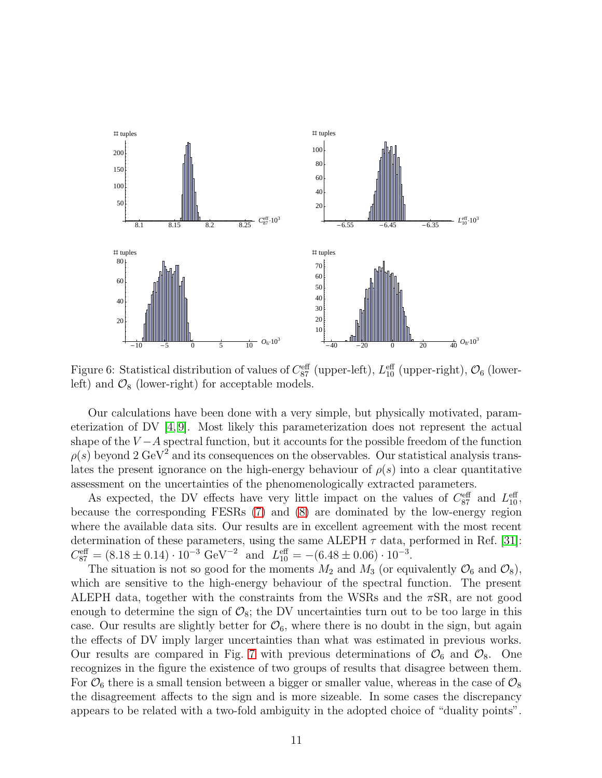

<span id="page-11-0"></span>Figure 6: Statistical distribution of values of  $C_{87}^{\text{eff}}$  (upper-left),  $L_{10}^{\text{eff}}$  (upper-right),  $\mathcal{O}_6$  (lowerleft) and  $\mathcal{O}_8$  (lower-right) for acceptable models.

Our calculations have been done with a very simple, but physically motivated, parameterization of DV [\[4,](#page-14-1) [9\]](#page-14-4). Most likely this parameterization does not represent the actual shape of the  $V - A$  spectral function, but it accounts for the possible freedom of the function  $\rho(s)$  beyond 2 GeV<sup>2</sup> and its consequences on the observables. Our statistical analysis translates the present ignorance on the high-energy behaviour of  $\rho(s)$  into a clear quantitative assessment on the uncertainties of the phenomenologically extracted parameters.

As expected, the DV effects have very little impact on the values of  $C_{87}^{\text{eff}}$  and  $L_{10}^{\text{eff}}$ , because the corresponding FESRs [\(7\)](#page-4-1) and [\(8\)](#page-4-1) are dominated by the low-energy region where the available data sits. Our results are in excellent agreement with the most recent determination of these parameters, using the same ALEPH  $\tau$  data, performed in Ref. [\[31\]](#page-15-4):  $C_{87}^{\text{eff}} = (8.18 \pm 0.14) \cdot 10^{-3} \text{ GeV}^{-2} \text{ and } L_{10}^{\text{eff}} = -(6.48 \pm 0.06) \cdot 10^{-3}.$ 

The situation is not so good for the moments  $M_2$  and  $M_3$  (or equivalently  $\mathcal{O}_6$  and  $\mathcal{O}_8$ ), which are sensitive to the high-energy behaviour of the spectral function. The present ALEPH data, together with the constraints from the WSRs and the  $\pi$ SR, are not good enough to determine the sign of  $\mathcal{O}_8$ ; the DV uncertainties turn out to be too large in this case. Our results are slightly better for  $\mathcal{O}_6$ , where there is no doubt in the sign, but again the effects of DV imply larger uncertainties than what was estimated in previous works. Our results are compared in Fig. [7](#page-12-1) with previous determinations of  $\mathcal{O}_6$  and  $\mathcal{O}_8$ . One recognizes in the figure the existence of two groups of results that disagree between them. For  $\mathcal{O}_6$  there is a small tension between a bigger or smaller value, whereas in the case of  $\mathcal{O}_8$ the disagreement affects to the sign and is more sizeable. In some cases the discrepancy appears to be related with a two-fold ambiguity in the adopted choice of "duality points".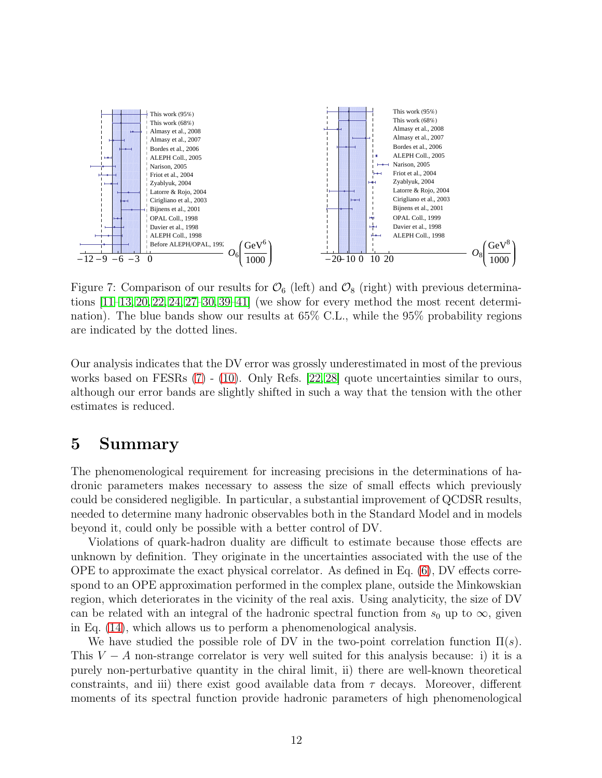

<span id="page-12-1"></span>Figure 7: Comparison of our results for  $\mathcal{O}_6$  (left) and  $\mathcal{O}_8$  (right) with previous determinations  $[11-13, 20, 22, 24, 27-30, 39-41]$  $[11-13, 20, 22, 24, 27-30, 39-41]$  $[11-13, 20, 22, 24, 27-30, 39-41]$  $[11-13, 20, 22, 24, 27-30, 39-41]$  $[11-13, 20, 22, 24, 27-30, 39-41]$  $[11-13, 20, 22, 24, 27-30, 39-41]$  $[11-13, 20, 22, 24, 27-30, 39-41]$  $[11-13, 20, 22, 24, 27-30, 39-41]$  $[11-13, 20, 22, 24, 27-30, 39-41]$  (we show for every method the most recent determination). The blue bands show our results at 65% C.L., while the 95% probability regions are indicated by the dotted lines.

Our analysis indicates that the DV error was grossly underestimated in most of the previous works based on FESRs [\(7\)](#page-4-1) - [\(10\)](#page-4-1). Only Refs. [\[22,](#page-15-8) [28\]](#page-15-10) quote uncertainties similar to ours, although our error bands are slightly shifted in such a way that the tension with the other estimates is reduced.

### <span id="page-12-0"></span>5 Summary

The phenomenological requirement for increasing precisions in the determinations of hadronic parameters makes necessary to assess the size of small effects which previously could be considered negligible. In particular, a substantial improvement of QCDSR results, needed to determine many hadronic observables both in the Standard Model and in models beyond it, could only be possible with a better control of DV.

Violations of quark-hadron duality are difficult to estimate because those effects are unknown by definition. They originate in the uncertainties associated with the use of the OPE to approximate the exact physical correlator. As defined in Eq. [\(6\)](#page-3-3), DV effects correspond to an OPE approximation performed in the complex plane, outside the Minkowskian region, which deteriorates in the vicinity of the real axis. Using analyticity, the size of DV can be related with an integral of the hadronic spectral function from  $s_0$  up to  $\infty$ , given in Eq. [\(14\)](#page-6-0), which allows us to perform a phenomenological analysis.

We have studied the possible role of DV in the two-point correlation function  $\Pi(s)$ . This  $V - A$  non-strange correlator is very well suited for this analysis because: i) it is a purely non-perturbative quantity in the chiral limit, ii) there are well-known theoretical constraints, and iii) there exist good available data from  $\tau$  decays. Moreover, different moments of its spectral function provide hadronic parameters of high phenomenological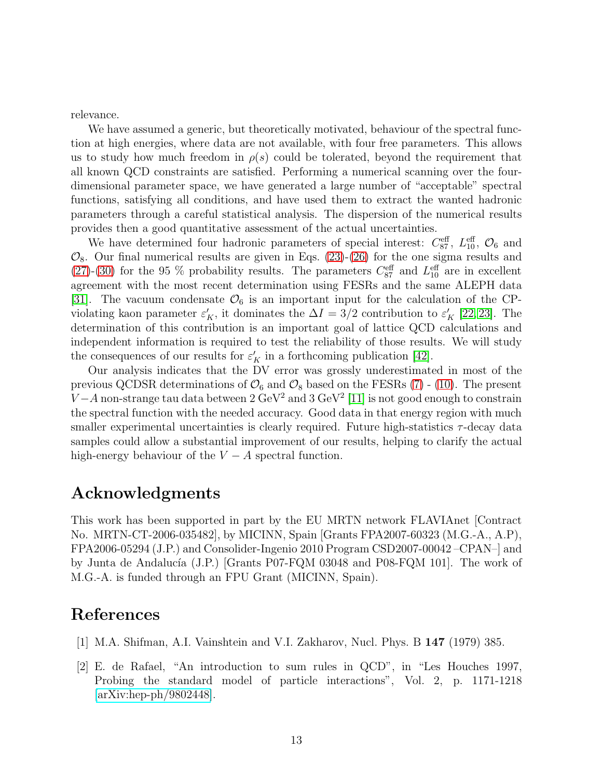relevance.

We have assumed a generic, but theoretically motivated, behaviour of the spectral function at high energies, where data are not available, with four free parameters. This allows us to study how much freedom in  $\rho(s)$  could be tolerated, beyond the requirement that all known QCD constraints are satisfied. Performing a numerical scanning over the fourdimensional parameter space, we have generated a large number of "acceptable" spectral functions, satisfying all conditions, and have used them to extract the wanted hadronic parameters through a careful statistical analysis. The dispersion of the numerical results provides then a good quantitative assessment of the actual uncertainties.

We have determined four hadronic parameters of special interest:  $C_{87}^{\text{eff}}$ ,  $L_{10}^{\text{eff}}$ ,  $\mathcal{O}_6$  and  $\mathcal{O}_8$ . Our final numerical results are given in Eqs. [\(23\)](#page-10-2)-[\(26\)](#page-10-2) for the one sigma results and [\(27\)](#page-10-3)-[\(30\)](#page-10-3) for the 95 % probability results. The parameters  $C_{87}^{\text{eff}}$  and  $L_{10}^{\text{eff}}$  are in excellent agreement with the most recent determination using FESRs and the same ALEPH data [\[31\]](#page-15-4). The vacuum condensate  $\mathcal{O}_6$  is an important input for the calculation of the CPviolating kaon parameter  $\varepsilon'_K$ , it dominates the  $\Delta I = 3/2$  contribution to  $\varepsilon'_K$  [\[22,](#page-15-8) [23\]](#page-15-11). The determination of this contribution is an important goal of lattice QCD calculations and independent information is required to test the reliability of those results. We will study the consequences of our results for  $\varepsilon_K'$  in a forthcoming publication [\[42\]](#page-16-5).

Our analysis indicates that the DV error was grossly underestimated in most of the previous QCDSR determinations of  $\mathcal{O}_6$  and  $\mathcal{O}_8$  based on the FESRs [\(7\)](#page-4-1) - [\(10\)](#page-4-1). The present  $V - A$  non-strange tau data between 2 GeV<sup>2</sup> and 3 GeV<sup>2</sup> [\[11\]](#page-14-6) is not good enough to constrain the spectral function with the needed accuracy. Good data in that energy region with much smaller experimental uncertainties is clearly required. Future high-statistics τ-decay data samples could allow a substantial improvement of our results, helping to clarify the actual high-energy behaviour of the  $V - A$  spectral function.

### Acknowledgments

This work has been supported in part by the EU MRTN network FLAVIAnet [Contract No. MRTN-CT-2006-035482], by MICINN, Spain [Grants FPA2007-60323 (M.G.-A., A.P), FPA2006-05294 (J.P.) and Consolider-Ingenio 2010 Program CSD2007-00042 –CPAN–] and by Junta de Andalucía (J.P.) [Grants P07-FQM 03048 and P08-FQM 101]. The work of M.G.-A. is funded through an FPU Grant (MICINN, Spain).

### <span id="page-13-0"></span>References

- <span id="page-13-1"></span>[1] M.A. Shifman, A.I. Vainshtein and V.I. Zakharov, Nucl. Phys. B 147 (1979) 385.
- [2] E. de Rafael, "An introduction to sum rules in QCD", in "Les Houches 1997, Probing the standard model of particle interactions", Vol. 2, p. 1171-1218  $\arXiv:hep-ph/9802448$ .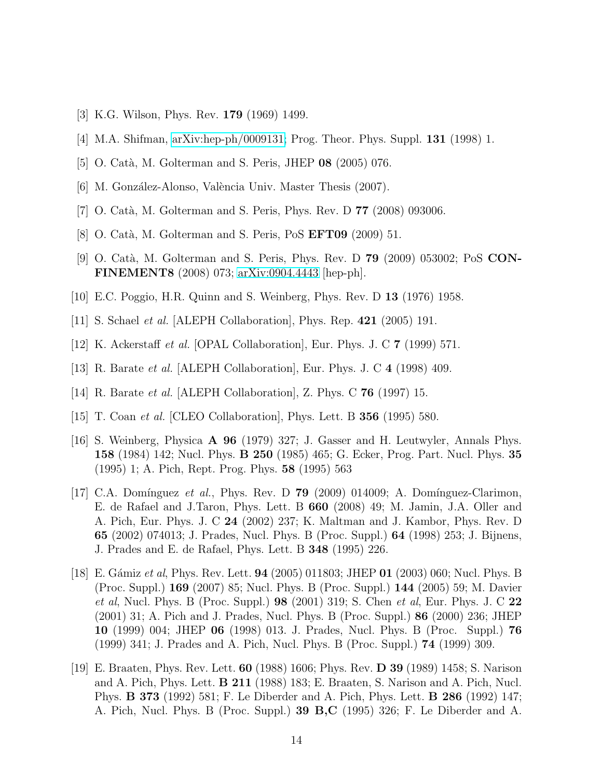- <span id="page-14-1"></span><span id="page-14-0"></span>[3] K.G. Wilson, Phys. Rev. 179 (1969) 1499.
- <span id="page-14-2"></span>[4] M.A. Shifman, [arXiv:hep-ph/0009131;](http://arxiv.org/abs/hep-ph/0009131) Prog. Theor. Phys. Suppl. 131 (1998) 1.
- <span id="page-14-14"></span>[5] O. Catà, M. Golterman and S. Peris, JHEP 08 (2005) 076.
- <span id="page-14-13"></span>[6] M. González-Alonso, València Univ. Master Thesis (2007).
- <span id="page-14-3"></span>[7] O. Catà, M. Golterman and S. Peris, Phys. Rev. D **77** (2008) 093006.
- <span id="page-14-4"></span> $|8|$  O. Catà, M. Golterman and S. Peris, PoS **EFT09** (2009) 51.
- [9] O. Catà, M. Golterman and S. Peris, Phys. Rev. D **79** (2009) 053002; PoS **CON-**FINEMENT8 (2008) 073; [arXiv:0904.4443](http://arxiv.org/abs/0904.4443) [hep-ph].
- <span id="page-14-6"></span><span id="page-14-5"></span>[10] E.C. Poggio, H.R. Quinn and S. Weinberg, Phys. Rev. D 13 (1976) 1958.
- [11] S. Schael *et al.* [ALEPH Collaboration], Phys. Rep. **421** (2005) 191.
- <span id="page-14-12"></span>[12] K. Ackerstaff et al. [OPAL Collaboration], Eur. Phys. J. C 7 (1999) 571.
- [13] R. Barate et al. [ALEPH Collaboration], Eur. Phys. J. C 4 (1998) 409.
- <span id="page-14-7"></span>[14] R. Barate et al. [ALEPH Collaboration], Z. Phys. C 76 (1997) 15.
- <span id="page-14-8"></span>[15] T. Coan et al. [CLEO Collaboration], Phys. Lett. B 356 (1995) 580.
- [16] S. Weinberg, Physica A 96 (1979) 327; J. Gasser and H. Leutwyler, Annals Phys. 158 (1984) 142; Nucl. Phys. B 250 (1985) 465; G. Ecker, Prog. Part. Nucl. Phys. 35 (1995) 1; A. Pich, Rept. Prog. Phys. 58 (1995) 563
- <span id="page-14-9"></span>[17] C.A. Domínguez et al., Phys. Rev. D **79** (2009) 014009; A. Domínguez-Clarimon, E. de Rafael and J.Taron, Phys. Lett. B 660 (2008) 49; M. Jamin, J.A. Oller and A. Pich, Eur. Phys. J. C 24 (2002) 237; K. Maltman and J. Kambor, Phys. Rev. D 65 (2002) 074013; J. Prades, Nucl. Phys. B (Proc. Suppl.) 64 (1998) 253; J. Bijnens, J. Prades and E. de Rafael, Phys. Lett. B 348 (1995) 226.
- <span id="page-14-10"></span>[18] E. Gámiz et al, Phys. Rev. Lett. **94** (2005) 011803; JHEP **01** (2003) 060; Nucl. Phys. B (Proc. Suppl.) 169 (2007) 85; Nucl. Phys. B (Proc. Suppl.) 144 (2005) 59; M. Davier *et al*, Nucl. Phys. B (Proc. Suppl.) **98** (2001) 319; S. Chen *et al*, Eur. Phys. J. C 22 (2001) 31; A. Pich and J. Prades, Nucl. Phys. B (Proc. Suppl.) 86 (2000) 236; JHEP 10 (1999) 004; JHEP 06 (1998) 013. J. Prades, Nucl. Phys. B (Proc. Suppl.) 76 (1999) 341; J. Prades and A. Pich, Nucl. Phys. B (Proc. Suppl.) 74 (1999) 309.
- <span id="page-14-11"></span>[19] E. Braaten, Phys. Rev. Lett. 60 (1988) 1606; Phys. Rev. D 39 (1989) 1458; S. Narison and A. Pich, Phys. Lett. B 211 (1988) 183; E. Braaten, S. Narison and A. Pich, Nucl. Phys. B 373 (1992) 581; F. Le Diberder and A. Pich, Phys. Lett. B 286 (1992) 147; A. Pich, Nucl. Phys. B (Proc. Suppl.) 39 B,C (1995) 326; F. Le Diberder and A.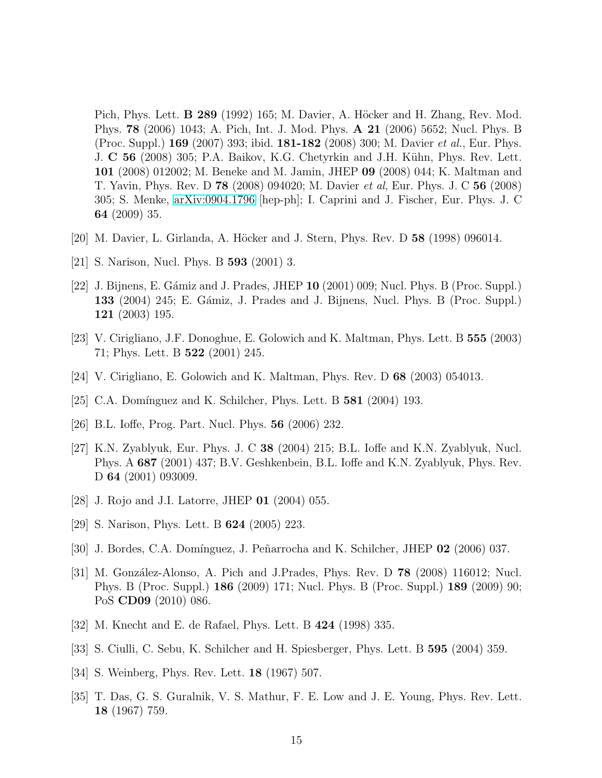Pich, Phys. Lett. **B 289** (1992) 165; M. Davier, A. Höcker and H. Zhang, Rev. Mod. Phys. 78 (2006) 1043; A. Pich, Int. J. Mod. Phys. A 21 (2006) 5652; Nucl. Phys. B (Proc. Suppl.) **169** (2007) 393; ibid. **181-182** (2008) 300; M. Davier *et al.*, Eur. Phys. J. C 56 (2008) 305; P.A. Baikov, K.G. Chetyrkin and J.H. Kühn, Phys. Rev. Lett. 101 (2008) 012002; M. Beneke and M. Jamin, JHEP 09 (2008) 044; K. Maltman and T. Yavin, Phys. Rev. D 78 (2008) 094020; M. Davier et al, Eur. Phys. J. C 56 (2008) 305; S. Menke, [arXiv:0904.1796](http://arxiv.org/abs/0904.1796) [hep-ph]; I. Caprini and J. Fischer, Eur. Phys. J. C 64 (2009) 35.

- <span id="page-15-2"></span><span id="page-15-0"></span>[20] M. Davier, L. Girlanda, A. Höcker and J. Stern, Phys. Rev. D 58 (1998) 096014.
- <span id="page-15-8"></span>[21] S. Narison, Nucl. Phys. B 593 (2001) 3.
- [22] J. Bijnens, E. Gámiz and J. Prades, JHEP  $10$  (2001) 009; Nucl. Phys. B (Proc. Suppl.) 133 (2004) 245; E. Gámiz, J. Prades and J. Bijnens, Nucl. Phys. B (Proc. Suppl.) 121 (2003) 195.
- <span id="page-15-11"></span><span id="page-15-5"></span>[23] V. Cirigliano, J.F. Donoghue, E. Golowich and K. Maltman, Phys. Lett. B 555 (2003) 71; Phys. Lett. B 522 (2001) 245.
- $[24]$  V. Cirigliano, E. Golowich and K. Maltman, Phys. Rev. D 68 (2003) 054013.
- [25] C.A. Domínguez and K. Schilcher, Phys. Lett. B  $581$  (2004) 193.
- <span id="page-15-9"></span>[26] B.L. Ioffe, Prog. Part. Nucl. Phys. 56 (2006) 232.
- [27] K.N. Zyablyuk, Eur. Phys. J. C 38 (2004) 215; B.L. Ioffe and K.N. Zyablyuk, Nucl. Phys. A 687 (2001) 437; B.V. Geshkenbein, B.L. Ioffe and K.N. Zyablyuk, Phys. Rev. D **64** (2001) 093009.
- <span id="page-15-10"></span>[28] J. Rojo and J.I. Latorre, JHEP 01 (2004) 055.
- <span id="page-15-1"></span>[29] S. Narison, Phys. Lett. B 624 (2005) 223.
- <span id="page-15-4"></span>[30] J. Bordes, C.A. Domínguez, J. Peñarrocha and K. Schilcher, JHEP 02 (2006) 037.
- [31] M. González-Alonso, A. Pich and J.Prades, Phys. Rev. D  $78$  (2008) 116012; Nucl. Phys. B (Proc. Suppl.) 186 (2009) 171; Nucl. Phys. B (Proc. Suppl.) 189 (2009) 90; PoS CD09 (2010) 086.
- <span id="page-15-6"></span><span id="page-15-3"></span>[32] M. Knecht and E. de Rafael, Phys. Lett. B 424 (1998) 335.
- [33] S. Ciulli, C. Sebu, K. Schilcher and H. Spiesberger, Phys. Lett. B 595 (2004) 359.
- <span id="page-15-7"></span>[34] S. Weinberg, Phys. Rev. Lett. 18 (1967) 507.
- [35] T. Das, G. S. Guralnik, V. S. Mathur, F. E. Low and J. E. Young, Phys. Rev. Lett. 18 (1967) 759.